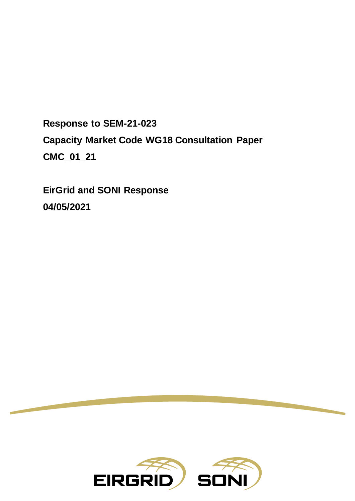**Response to SEM-21-023 Capacity Market Code WG18 Consultation Paper CMC\_01\_21**

**EirGrid and SONI Response 04/05/2021**

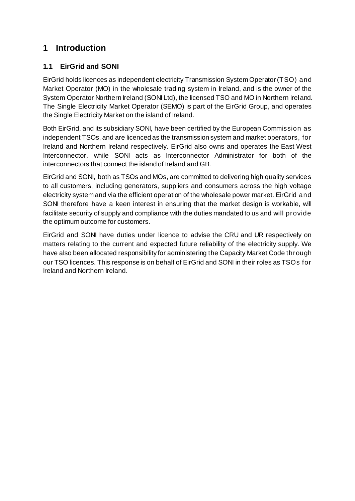## **1 Introduction**

## **1.1 EirGrid and SONI**

EirGrid holds licences as independent electricity Transmission System Operator (TSO) and Market Operator (MO) in the wholesale trading system in Ireland, and is the owner of the System Operator Northern Ireland (SONI Ltd), the licensed TSO and MO in Northern Ireland. The Single Electricity Market Operator (SEMO) is part of the EirGrid Group, and operates the Single Electricity Market on the island of Ireland.

Both EirGrid, and its subsidiary SONI, have been certified by the European Commission as independent TSOs, and are licenced as the transmission system and market operators, for Ireland and Northern Ireland respectively. EirGrid also owns and operates the East West Interconnector, while SONI acts as Interconnector Administrator for both of the interconnectors that connect the island of Ireland and GB.

EirGrid and SONI, both as TSOs and MOs, are committed to delivering high quality services to all customers, including generators, suppliers and consumers across the high voltage electricity system and via the efficient operation of the wholesale power market. EirGrid and SONI therefore have a keen interest in ensuring that the market design is workable, will facilitate security of supply and compliance with the duties mandated to us and will provide the optimum outcome for customers.

EirGrid and SONI have duties under licence to advise the CRU and UR respectively on matters relating to the current and expected future reliability of the electricity supply. We have also been allocated responsibility for administering the Capacity Market Code through our TSO licences. This response is on behalf of EirGrid and SONI in their roles as TSOs for Ireland and Northern Ireland.